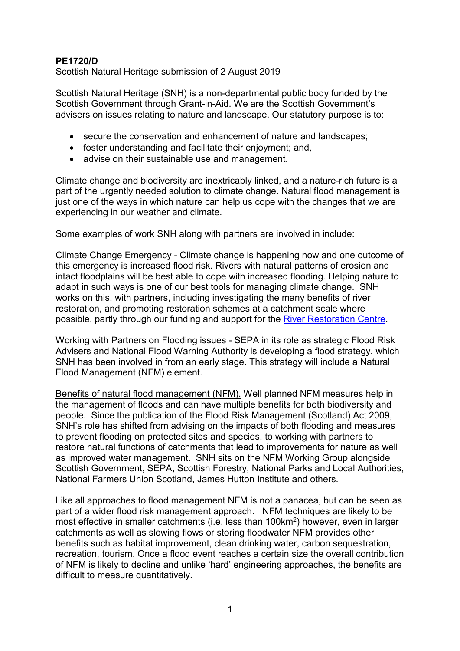## **PE1720/D**

Scottish Natural Heritage submission of 2 August 2019

Scottish Natural Heritage (SNH) is a non-departmental public body funded by the Scottish Government through Grant-in-Aid. We are the Scottish Government's advisers on issues relating to nature and landscape. Our statutory purpose is to:

- secure the conservation and enhancement of nature and landscapes;
- foster understanding and facilitate their enjoyment; and,
- advise on their sustainable use and management.

Climate change and biodiversity are inextricably linked, and a nature-rich future is a part of the urgently needed solution to climate change. Natural flood management is just one of the ways in which nature can help us cope with the changes that we are experiencing in our weather and climate.

Some examples of work SNH along with partners are involved in include:

Climate Change Emergency - Climate change is happening now and one outcome of this emergency is increased flood risk. Rivers with natural patterns of erosion and intact floodplains will be best able to cope with increased flooding. Helping nature to adapt in such ways is one of our best tools for managing climate change. SNH works on this, with partners, including investigating the many benefits of river restoration, and promoting restoration schemes at a catchment scale where possible, partly through our funding and support for the [River Restoration Centre.](https://www.therrc.co.uk/)

Working with Partners on Flooding issues - SEPA in its role as strategic Flood Risk Advisers and National Flood Warning Authority is developing a flood strategy, which SNH has been involved in from an early stage. This strategy will include a Natural Flood Management (NFM) element.

Benefits of natural flood management (NFM). Well planned NFM measures help in the management of floods and can have multiple benefits for both biodiversity and people. Since the publication of the Flood Risk Management (Scotland) Act 2009, SNH's role has shifted from advising on the impacts of both flooding and measures to prevent flooding on protected sites and species, to working with partners to restore natural functions of catchments that lead to improvements for nature as well as improved water management. SNH sits on the NFM Working Group alongside Scottish Government, SEPA, Scottish Forestry, National Parks and Local Authorities, National Farmers Union Scotland, James Hutton Institute and others.

Like all approaches to flood management NFM is not a panacea, but can be seen as part of a wider flood risk management approach. NFM techniques are likely to be most effective in smaller catchments (i.e. less than 100km2) however, even in larger catchments as well as slowing flows or storing floodwater NFM provides other benefits such as habitat improvement, clean drinking water, carbon sequestration, recreation, tourism. Once a flood event reaches a certain size the overall contribution of NFM is likely to decline and unlike 'hard' engineering approaches, the benefits are difficult to measure quantitatively.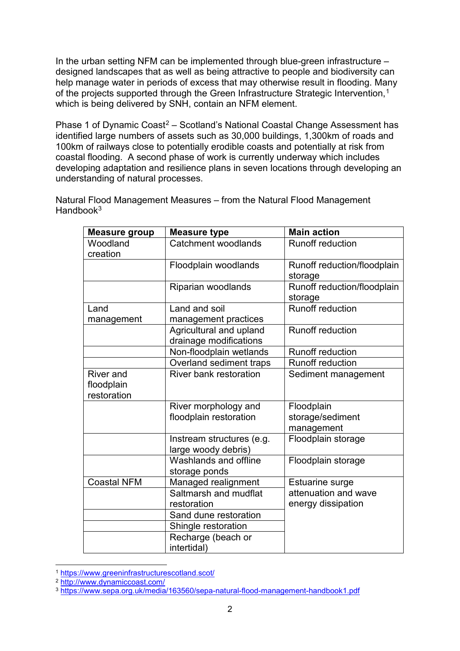In the urban setting NFM can be implemented through blue-green infrastructure – designed landscapes that as well as being attractive to people and biodiversity can help manage water in periods of excess that may otherwise result in flooding. Many of the projects supported through the Green Infrastructure Strategic Intervention,<sup>[1](#page-1-0)</sup> which is being delivered by SNH, contain an NFM element.

Phase 1 of Dynamic Coast<sup>[2](#page-1-1)</sup> – Scotland's National Coastal Change Assessment has identified large numbers of assets such as 30,000 buildings, 1,300km of roads and 100km of railways close to potentially erodible coasts and potentially at risk from coastal flooding. A second phase of work is currently underway which includes developing adaptation and resilience plans in seven locations through developing an understanding of natural processes.

Natural Flood Management Measures – from the Natural Flood Management Handbook $3$ 

| <b>Measure group</b>                          | <b>Measure type</b>                               | <b>Main action</b>                           |
|-----------------------------------------------|---------------------------------------------------|----------------------------------------------|
| Woodland<br>creation                          | Catchment woodlands                               | <b>Runoff reduction</b>                      |
|                                               | Floodplain woodlands                              | Runoff reduction/floodplain<br>storage       |
|                                               | Riparian woodlands                                | Runoff reduction/floodplain<br>storage       |
| Land<br>management                            | Land and soil<br>management practices             | <b>Runoff reduction</b>                      |
|                                               | Agricultural and upland<br>drainage modifications | <b>Runoff reduction</b>                      |
|                                               | Non-floodplain wetlands                           | <b>Runoff reduction</b>                      |
|                                               | Overland sediment traps                           | <b>Runoff reduction</b>                      |
| <b>River</b> and<br>floodplain<br>restoration | River bank restoration                            | Sediment management                          |
|                                               | River morphology and<br>floodplain restoration    | Floodplain<br>storage/sediment<br>management |
|                                               | Instream structures (e.g.<br>large woody debris)  | Floodplain storage                           |
|                                               | Washlands and offline<br>storage ponds            | Floodplain storage                           |
| <b>Coastal NFM</b>                            | Managed realignment                               | Estuarine surge                              |
|                                               | Saltmarsh and mudflat<br>restoration              | attenuation and wave<br>energy dissipation   |
|                                               | Sand dune restoration                             |                                              |
|                                               | Shingle restoration                               |                                              |
|                                               | Recharge (beach or<br>intertidal)                 |                                              |

<span id="page-1-0"></span> <sup>1</sup> <https://www.greeninfrastructurescotland.scot/>

<span id="page-1-1"></span><sup>2</sup> <http://www.dynamiccoast.com/>

<span id="page-1-2"></span><sup>3</sup> <https://www.sepa.org.uk/media/163560/sepa-natural-flood-management-handbook1.pdf>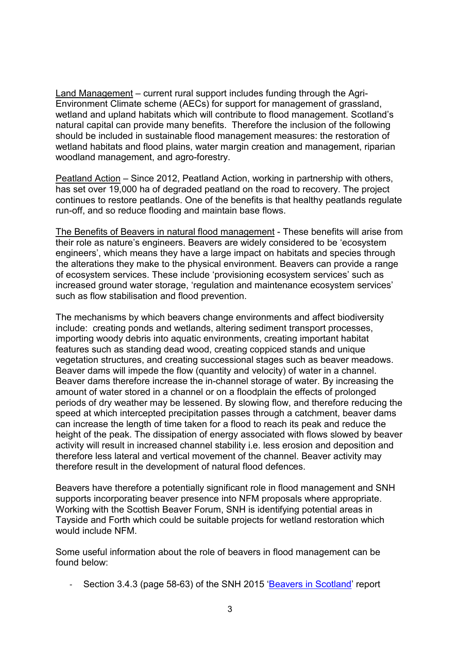Land Management – current rural support includes funding through the Agri-Environment Climate scheme (AECs) for support for management of grassland, wetland and upland habitats which will contribute to flood management. Scotland's natural capital can provide many benefits. Therefore the inclusion of the following should be included in sustainable flood management measures: the restoration of wetland habitats and flood plains, water margin creation and management, riparian woodland management, and agro-forestry.

Peatland Action – Since 2012, Peatland Action, working in partnership with others, has set over 19,000 ha of degraded peatland on the road to recovery. The project continues to restore peatlands. One of the benefits is that healthy peatlands regulate run-off, and so reduce flooding and maintain base flows.

The Benefits of Beavers in natural flood management - These benefits will arise from their role as nature's engineers. Beavers are widely considered to be 'ecosystem engineers', which means they have a large impact on habitats and species through the alterations they make to the physical environment. Beavers can provide a range of ecosystem services. These include 'provisioning ecosystem services' such as increased ground water storage, 'regulation and maintenance ecosystem services' such as flow stabilisation and flood prevention.

The mechanisms by which beavers change environments and affect biodiversity include: creating ponds and wetlands, altering sediment transport processes, importing woody debris into aquatic environments, creating important habitat features such as standing dead wood, creating coppiced stands and unique vegetation structures, and creating successional stages such as beaver meadows. Beaver dams will impede the flow (quantity and velocity) of water in a channel. Beaver dams therefore increase the in-channel storage of water. By increasing the amount of water stored in a channel or on a floodplain the effects of prolonged periods of dry weather may be lessened. By slowing flow, and therefore reducing the speed at which intercepted precipitation passes through a catchment, beaver dams can increase the length of time taken for a flood to reach its peak and reduce the height of the peak. The dissipation of energy associated with flows slowed by beaver activity will result in increased channel stability i.e. less erosion and deposition and therefore less lateral and vertical movement of the channel. Beaver activity may therefore result in the development of natural flood defences.

Beavers have therefore a potentially significant role in flood management and SNH supports incorporating beaver presence into NFM proposals where appropriate. Working with the Scottish Beaver Forum, SNH is identifying potential areas in Tayside and Forth which could be suitable projects for wetland restoration which would include NFM.

Some useful information about the role of beavers in flood management can be found below:

- Section 3.4.3 (page 58-63) of the SNH 2015 ['Beavers in Scotland'](https://www.nature.scot/beavers-scotland-report-scottish-government) report